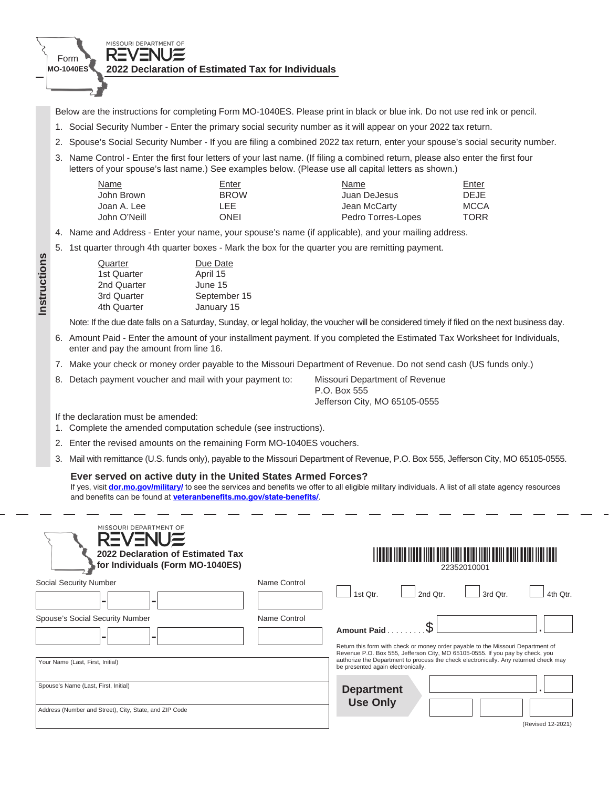

Below are the instructions for completing Form MO-1040ES. Please print in black or blue ink. Do not use red ink or pencil.

- 1. Social Security Number Enter the primary social security number as it will appear on your 2022 tax return.
- 2. Spouse's Social Security Number If you are filing a combined 2022 tax return, enter your spouse's social security number.
- 3. Name Control Enter the first four letters of your last name. (If filing a combined return, please also enter the first four letters of your spouse's last name.) See examples below. (Please use all capital letters as shown.)

| Name         | Enter       | Name               | Enter       |
|--------------|-------------|--------------------|-------------|
| John Brown   | <b>BROW</b> | Juan DeJesus       | <b>DEJE</b> |
| Joan A. Lee  | LEE         | Jean McCarty       | MCCA        |
| John O'Neill | ONEI        | Pedro Torres-Lopes | <b>TORR</b> |

- 4. Name and Address Enter your name, your spouse's name (if applicable), and your mailing address.
- 5. 1st quarter through 4th quarter boxes Mark the box for the quarter you are remitting payment.

| Due Date     |
|--------------|
| April 15     |
| June 15      |
| September 15 |
| January 15   |
|              |

Note: If the due date falls on a Saturday, Sunday, or legal holiday, the voucher will be considered timely if filed on the next business day.

- 6. Amount Paid Enter the amount of your installment payment. If you completed the Estimated Tax Worksheet for Individuals, enter and pay the amount from line 16.
- 7. Make your check or money order payable to the Missouri Department of Revenue. Do not send cash (US funds only.)
- 8. Detach payment voucher and mail with your payment to: Missouri Department of Revenue

 P.O. Box 555 Jefferson City, MO 65105-0555

If the declaration must be amended:

**Instructions**

Instructions

- 1. Complete the amended computation schedule (see instructions).
- 2. Enter the revised amounts on the remaining Form MO-1040ES vouchers.
- 3. Mail with remittance (U.S. funds only), payable to the Missouri Department of Revenue, P.O. Box 555, Jefferson City, MO 65105-0555.

## **Ever served on active duty in the United States Armed Forces?**

If yes, visit **dor.mo.gov/military/** to see the services and benefits we offer to all eligible military individuals. A list of all state agency resources and benefits can be found at **veteranbenefits.mo.gov/state-benefits/**.

| MISSOURI DEPARTMENT OF<br><b>REVENUE</b><br>2022 Declaration of Estimated Tax<br>for Individuals (Form MO-1040ES) |              |                                      |          | 22352010001                                                                                                                                                       |                   |
|-------------------------------------------------------------------------------------------------------------------|--------------|--------------------------------------|----------|-------------------------------------------------------------------------------------------------------------------------------------------------------------------|-------------------|
| Social Security Number                                                                                            | Name Control | 1st Otr.                             | 2nd Otr. | 3rd Otr.                                                                                                                                                          | 4th Otr.          |
| <b>Spouse's Social Security Number</b><br>-                                                                       | Name Control | <b>Amount Paid.</b>                  |          | Return this form with check or money order payable to the Missouri Department of<br>Revenue P.O. Box 555, Jefferson City, MO 65105-0555. If you pay by check, you |                   |
| Your Name (Last, First, Initial)                                                                                  |              | be presented again electronically.   |          | authorize the Department to process the check electronically. Any returned check may                                                                              |                   |
| Spouse's Name (Last, First, Initial)<br>Address (Number and Street), City, State, and ZIP Code                    |              | <b>Department</b><br><b>Use Only</b> |          |                                                                                                                                                                   |                   |
|                                                                                                                   |              |                                      |          |                                                                                                                                                                   | (Revised 12-2021) |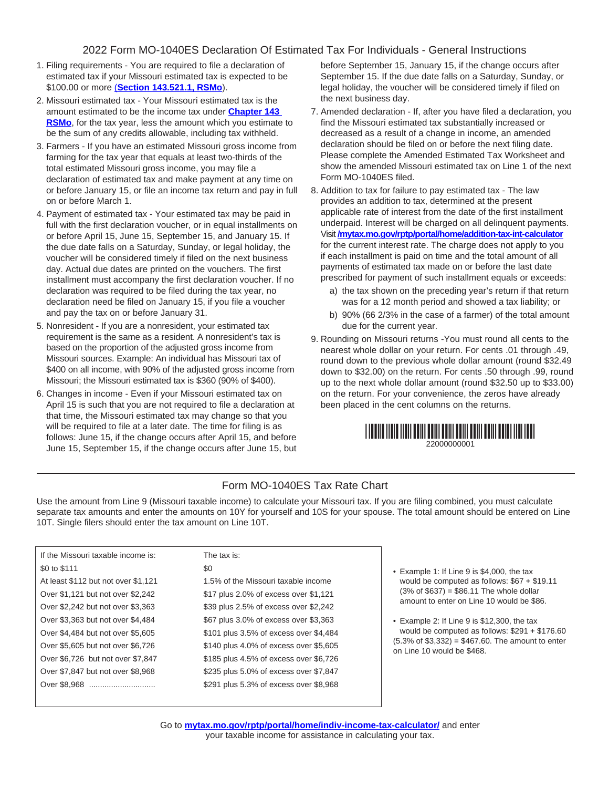## 2022 Form MO-1040ES Declaration Of Estimated Tax For Individuals - General Instructions

- 1. Filing requirements You are required to file a declaration of estimated tax if your Missouri estimated tax is expected to be \$100.00 or more (**Section 143.521.1, RSMo**).
- 2. Missouri estimated tax Your Missouri estimated tax is the amount estimated to be the income tax under **Chapter 143 RSMo**, for the tax year, less the amount which you estimate to be the sum of any credits allowable, including tax withheld.
- 3. Farmers If you have an estimated Missouri gross income from farming for the tax year that equals at least two-thirds of the total estimated Missouri gross income, you may file a declaration of estimated tax and make payment at any time on or before January 15, or file an income tax return and pay in full on or before March 1.
- 4. Payment of estimated tax Your estimated tax may be paid in full with the first declaration voucher, or in equal installments on or before April 15, June 15, September 15, and January 15. If the due date falls on a Saturday, Sunday, or legal holiday, the voucher will be considered timely if filed on the next business day. Actual due dates are printed on the vouchers. The first installment must accompany the first declaration voucher. If no declaration was required to be filed during the tax year, no declaration need be filed on January 15, if you file a voucher and pay the tax on or before January 31.
- 5. Nonresident If you are a nonresident, your estimated tax requirement is the same as a resident. A nonresident's tax is based on the proportion of the adjusted gross income from Missouri sources. Example: An individual has Missouri tax of \$400 on all income, with 90% of the adjusted gross income from Missouri; the Missouri estimated tax is \$360 (90% of \$400).
- 6. Changes in income Even if your Missouri estimated tax on April 15 is such that you are not required to file a declaration at that time, the Missouri estimated tax may change so that you will be required to file at a later date. The time for filing is as follows: June 15, if the change occurs after April 15, and before June 15, September 15, if the change occurs after June 15, but

before September 15, January 15, if the change occurs after September 15. If the due date falls on a Saturday, Sunday, or legal holiday, the voucher will be considered timely if filed on the next business day.

- 7. Amended declaration If, after you have filed a declaration, you find the Missouri estimated tax substantially increased or decreased as a result of a change in income, an amended declaration should be filed on or before the next filing date. Please complete the Amended Estimated Tax Worksheet and show the amended Missouri estimated tax on Line 1 of the next Form MO-1040ES filed.
- 8. Addition to tax for failure to pay estimated tax The law provides an addition to tax, determined at the present applicable rate of interest from the date of the first installment underpaid. Interest will be charged on all delinquent payments. Visit **/mytax.mo.gov/rptp/portal/home/addition-tax-int-calculator** for the current interest rate. The charge does not apply to you if each installment is paid on time and the total amount of all payments of estimated tax made on or before the last date prescribed for payment of such installment equals or exceeds:
	- a) the tax shown on the preceding year's return if that return was for a 12 month period and showed a tax liability; or
	- b) 90% (66 2/3% in the case of a farmer) of the total amount due for the current year.
- 9. Rounding on Missouri returns -You must round all cents to the nearest whole dollar on your return. For cents .01 through .49, round down to the previous whole dollar amount (round \$32.49 down to \$32.00) on the return. For cents .50 through .99, round up to the next whole dollar amount (round \$32.50 up to \$33.00) on the return. For your convenience, the zeros have already been placed in the cent columns on the returns.

| 22000000001 |  |  |
|-------------|--|--|

## Form MO-1040ES Tax Rate Chart

Use the amount from Line 9 (Missouri taxable income) to calculate your Missouri tax. If you are filing combined, you must calculate separate tax amounts and enter the amounts on 10Y for yourself and 10S for your spouse. The total amount should be entered on Line 10T. Single filers should enter the tax amount on Line 10T.

| If the Missouri taxable income is:  | The tax is:                            |
|-------------------------------------|----------------------------------------|
| \$0 to \$111                        | \$0                                    |
| At least \$112 but not over \$1,121 | 1.5% of the Missouri taxable income    |
| Over \$1,121 but not over \$2,242   | \$17 plus 2.0% of excess over \$1,121  |
| Over \$2,242 but not over \$3,363   | \$39 plus 2.5% of excess over \$2,242  |
| Over \$3,363 but not over \$4,484   | \$67 plus 3.0% of excess over \$3,363  |
| Over \$4,484 but not over \$5,605   | \$101 plus 3.5% of excess over \$4,484 |
| Over \$5,605 but not over \$6,726   | \$140 plus 4.0% of excess over \$5,605 |
| Over \$6,726 but not over \$7,847   | \$185 plus 4.5% of excess over \$6,726 |
| Over \$7,847 but not over \$8,968   | \$235 plus 5.0% of excess over \$7,847 |
| Over \$8.968                        | \$291 plus 5.3% of excess over \$8,968 |
|                                     |                                        |

- Example 1: If Line 9 is \$4,000, the tax would be computed as follows: \$67 + \$19.11  $(3% of $637) = $86.11$  The whole dollar amount to enter on Line 10 would be \$86.
- Example 2: If Line 9 is \$12,300, the tax would be computed as follows: \$291 + \$176.60  $(5.3\% \text{ of } $3,332) = $467.60$ . The amount to enter on Line 10 would be \$468.